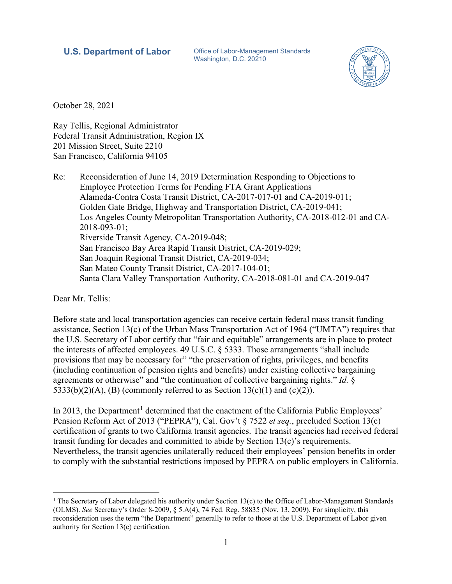### **U.S. Department of Labor** Office of Labor-Management Standards

Washington, D.C. 20210



October 28, 2021

Ray Tellis, Regional Administrator Federal Transit Administration, Region IX 201 Mission Street, Suite 2210 San Francisco, California 94105

Re: Reconsideration of June 14, 2019 Determination Responding to Objections to Employee Protection Terms for Pending FTA Grant Applications Alameda-Contra Costa Transit District, CA-2017-017-01 and CA-2019-011; Golden Gate Bridge, Highway and Transportation District, CA-2019-041; Los Angeles County Metropolitan Transportation Authority, CA-2018-012-01 and CA-2018-093-01; Riverside Transit Agency, CA-2019-048; San Francisco Bay Area Rapid Transit District, CA-2019-029; San Joaquin Regional Transit District, CA-2019-034; San Mateo County Transit District, CA-2017-104-01; Santa Clara Valley Transportation Authority, CA-2018-081-01 and CA-2019-047

Dear Mr. Tellis:

Before state and local transportation agencies can receive certain federal mass transit funding assistance, Section 13(c) of the Urban Mass Transportation Act of 1964 ("UMTA") requires that the U.S. Secretary of Labor certify that "fair and equitable" arrangements are in place to protect the interests of affected employees. 49 U.S.C. § 5333. Those arrangements "shall include provisions that may be necessary for" "the preservation of rights, privileges, and benefits (including continuation of pension rights and benefits) under existing collective bargaining agreements or otherwise" and "the continuation of collective bargaining rights." *Id.* § 5333(b)(2)(A), (B) (commonly referred to as Section 13(c)(1) and (c)(2)).

In 20[1](#page-0-0)3, the Department<sup>1</sup> determined that the enactment of the California Public Employees' Pension Reform Act of 2013 ("PEPRA"), Cal. Gov't § 7522 *et seq.*, precluded Section 13(c) certification of grants to two California transit agencies. The transit agencies had received federal transit funding for decades and committed to abide by Section  $13(c)$ 's requirements. Nevertheless, the transit agencies unilaterally reduced their employees' pension benefits in order to comply with the substantial restrictions imposed by PEPRA on public employers in California.

<span id="page-0-0"></span><sup>&</sup>lt;sup>1</sup> The Secretary of Labor delegated his authority under Section 13(c) to the Office of Labor-Management Standards (OLMS). *See* Secretary's Order 8-2009, § 5.A(4), 74 Fed. Reg. 58835 (Nov. 13, 2009). For simplicity, this reconsideration uses the term "the Department" generally to refer to those at the U.S. Department of Labor given authority for Section 13(c) certification.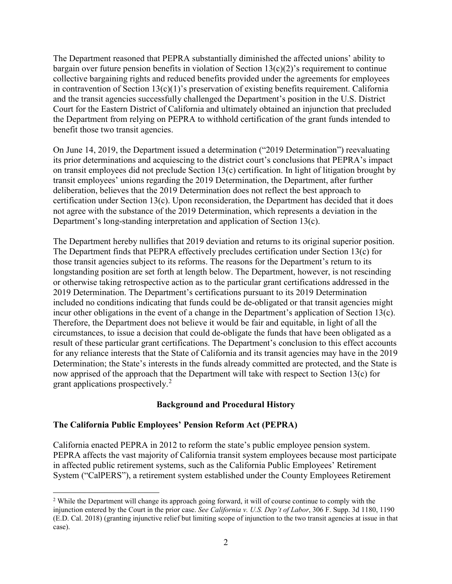The Department reasoned that PEPRA substantially diminished the affected unions' ability to bargain over future pension benefits in violation of Section  $13(c)(2)$ 's requirement to continue collective bargaining rights and reduced benefits provided under the agreements for employees in contravention of Section  $13(c)(1)$ 's preservation of existing benefits requirement. California and the transit agencies successfully challenged the Department's position in the U.S. District Court for the Eastern District of California and ultimately obtained an injunction that precluded the Department from relying on PEPRA to withhold certification of the grant funds intended to benefit those two transit agencies.

On June 14, 2019, the Department issued a determination ("2019 Determination") reevaluating its prior determinations and acquiescing to the district court's conclusions that PEPRA's impact on transit employees did not preclude Section 13(c) certification. In light of litigation brought by transit employees' unions regarding the 2019 Determination, the Department, after further deliberation, believes that the 2019 Determination does not reflect the best approach to certification under Section 13(c). Upon reconsideration, the Department has decided that it does not agree with the substance of the 2019 Determination, which represents a deviation in the Department's long-standing interpretation and application of Section 13(c).

The Department hereby nullifies that 2019 deviation and returns to its original superior position. The Department finds that PEPRA effectively precludes certification under Section 13(c) for those transit agencies subject to its reforms. The reasons for the Department's return to its longstanding position are set forth at length below. The Department, however, is not rescinding or otherwise taking retrospective action as to the particular grant certifications addressed in the 2019 Determination. The Department's certifications pursuant to its 2019 Determination included no conditions indicating that funds could be de-obligated or that transit agencies might incur other obligations in the event of a change in the Department's application of Section 13(c). Therefore, the Department does not believe it would be fair and equitable, in light of all the circumstances, to issue a decision that could de-obligate the funds that have been obligated as a result of these particular grant certifications. The Department's conclusion to this effect accounts for any reliance interests that the State of California and its transit agencies may have in the 2019 Determination; the State's interests in the funds already committed are protected, and the State is now apprised of the approach that the Department will take with respect to Section 13(c) for grant applications prospectively.[2](#page-1-0)

# **Background and Procedural History**

# **The California Public Employees' Pension Reform Act (PEPRA)**

California enacted PEPRA in 2012 to reform the state's public employee pension system. PEPRA affects the vast majority of California transit system employees because most participate in affected public retirement systems, such as the California Public Employees' Retirement System ("CalPERS"), a retirement system established under the County Employees Retirement

<span id="page-1-0"></span><sup>&</sup>lt;sup>2</sup> While the Department will change its approach going forward, it will of course continue to comply with the injunction entered by the Court in the prior case. *See California v. U.S. Dep't of Labor*, 306 F. Supp. 3d 1180, 1190 (E.D. Cal. 2018) (granting injunctive relief but limiting scope of injunction to the two transit agencies at issue in that case).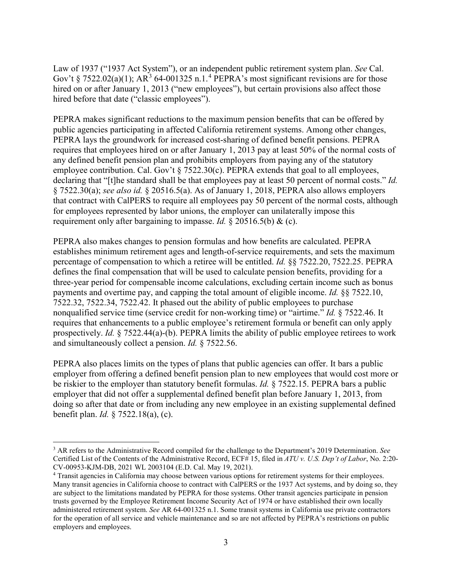Law of 1937 ("1937 Act System"), or an independent public retirement system plan. *See* Cal. Gov't § 7522.02(a)(1);  $AR^3$  $AR^3$  6[4](#page-2-1)-001325 n.1.<sup>4</sup> PEPRA's most significant revisions are for those hired on or after January 1, 2013 ("new employees"), but certain provisions also affect those hired before that date ("classic employees").

PEPRA makes significant reductions to the maximum pension benefits that can be offered by public agencies participating in affected California retirement systems. Among other changes, PEPRA lays the groundwork for increased cost-sharing of defined benefit pensions. PEPRA requires that employees hired on or after January 1, 2013 pay at least 50% of the normal costs of any defined benefit pension plan and prohibits employers from paying any of the statutory employee contribution. Cal. Gov't § 7522.30(c). PEPRA extends that goal to all employees, declaring that "[t]he standard shall be that employees pay at least 50 percent of normal costs." *Id.* § 7522.30(a); *see also id.* § 20516.5(a). As of January 1, 2018, PEPRA also allows employers that contract with CalPERS to require all employees pay 50 percent of the normal costs, although for employees represented by labor unions, the employer can unilaterally impose this requirement only after bargaining to impasse. *Id.* § 20516.5(b) & (c).

PEPRA also makes changes to pension formulas and how benefits are calculated. PEPRA establishes minimum retirement ages and length-of-service requirements, and sets the maximum percentage of compensation to which a retiree will be entitled. *Id.* §§ 7522.20, 7522.25. PEPRA defines the final compensation that will be used to calculate pension benefits, providing for a three-year period for compensable income calculations, excluding certain income such as bonus payments and overtime pay, and capping the total amount of eligible income. *Id.* §§ 7522.10, 7522.32, 7522.34, 7522.42. It phased out the ability of public employees to purchase nonqualified service time (service credit for non-working time) or "airtime." *Id.* § 7522.46. It requires that enhancements to a public employee's retirement formula or benefit can only apply prospectively. *Id.* § 7522.44(a)-(b). PEPRA limits the ability of public employee retirees to work and simultaneously collect a pension. *Id.* § 7522.56.

PEPRA also places limits on the types of plans that public agencies can offer. It bars a public employer from offering a defined benefit pension plan to new employees that would cost more or be riskier to the employer than statutory benefit formulas. *Id.* § 7522.15. PEPRA bars a public employer that did not offer a supplemental defined benefit plan before January 1, 2013, from doing so after that date or from including any new employee in an existing supplemental defined benefit plan. *Id.* § 7522.18(a), (c).

<span id="page-2-0"></span> <sup>3</sup> AR refers to the Administrative Record compiled for the challenge to the Department's 2019 Determination. *See* Certified List of the Contents of the Administrative Record, ECF# 15, filed in *ATU v. U.S. Dep't of Labor*, No. 2:20- CV-00953-KJM-DB, 2021 WL 2003104 (E.D. Cal. May 19, 2021).

<span id="page-2-1"></span><sup>4</sup> Transit agencies in California may choose between various options for retirement systems for their employees. Many transit agencies in California choose to contract with CalPERS or the 1937 Act systems, and by doing so, they are subject to the limitations mandated by PEPRA for those systems. Other transit agencies participate in pension trusts governed by the Employee Retirement Income Security Act of 1974 or have established their own locally administered retirement system. *See* AR 64-001325 n.1. Some transit systems in California use private contractors for the operation of all service and vehicle maintenance and so are not affected by PEPRA's restrictions on public employers and employees.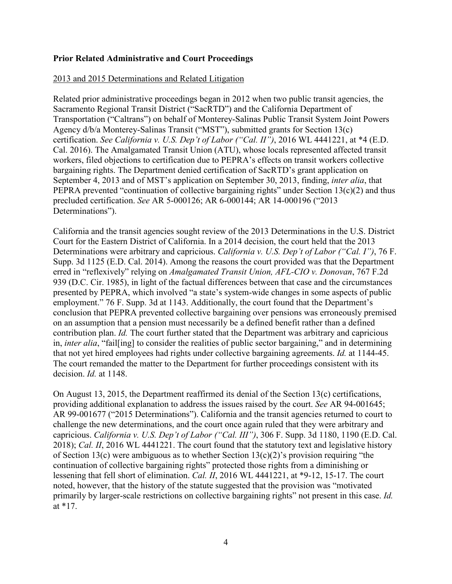### **Prior Related Administrative and Court Proceedings**

### 2013 and 2015 Determinations and Related Litigation

Related prior administrative proceedings began in 2012 when two public transit agencies, the Sacramento Regional Transit District ("SacRTD") and the California Department of Transportation ("Caltrans") on behalf of Monterey-Salinas Public Transit System Joint Powers Agency d/b/a Monterey-Salinas Transit ("MST"), submitted grants for Section 13(c) certification. *See California v. U.S. Dep't of Labor ("Cal. II")*, 2016 WL 4441221, at \*4 (E.D. Cal. 2016). The Amalgamated Transit Union (ATU), whose locals represented affected transit workers, filed objections to certification due to PEPRA's effects on transit workers collective bargaining rights. The Department denied certification of SacRTD's grant application on September 4, 2013 and of MST's application on September 30, 2013, finding, *inter alia*, that PEPRA prevented "continuation of collective bargaining rights" under Section 13(c)(2) and thus precluded certification. *See* AR 5-000126; AR 6-000144; AR 14-000196 ("2013 Determinations").

California and the transit agencies sought review of the 2013 Determinations in the U.S. District Court for the Eastern District of California. In a 2014 decision, the court held that the 2013 Determinations were arbitrary and capricious. *California v. U.S. Dep't of Labor ("Cal. I")*, 76 F. Supp. 3d 1125 (E.D. Cal. 2014). Among the reasons the court provided was that the Department erred in "reflexively" relying on *Amalgamated Transit Union, AFL-CIO v. Donovan*, 767 F.2d 939 (D.C. Cir. 1985), in light of the factual differences between that case and the circumstances presented by PEPRA, which involved "a state's system-wide changes in some aspects of public employment." 76 F. Supp. 3d at 1143. Additionally, the court found that the Department's conclusion that PEPRA prevented collective bargaining over pensions was erroneously premised on an assumption that a pension must necessarily be a defined benefit rather than a defined contribution plan. *Id.* The court further stated that the Department was arbitrary and capricious in, *inter alia*, "fail[ing] to consider the realities of public sector bargaining," and in determining that not yet hired employees had rights under collective bargaining agreements. *Id.* at 1144-45. The court remanded the matter to the Department for further proceedings consistent with its decision. *Id.* at 1148.

On August 13, 2015, the Department reaffirmed its denial of the Section 13(c) certifications, providing additional explanation to address the issues raised by the court. *See* AR 94-001645; AR 99-001677 ("2015 Determinations"). California and the transit agencies returned to court to challenge the new determinations, and the court once again ruled that they were arbitrary and capricious. *California v. U.S. Dep't of Labor ("Cal. III")*, 306 F. Supp. 3d 1180, 1190 (E.D. Cal. 2018); *Cal. II*, 2016 WL 4441221. The court found that the statutory text and legislative history of Section 13(c) were ambiguous as to whether Section 13(c)(2)'s provision requiring "the continuation of collective bargaining rights" protected those rights from a diminishing or lessening that fell short of elimination. *Cal. II*, 2016 WL 4441221, at \*9-12, 15-17. The court noted, however, that the history of the statute suggested that the provision was "motivated primarily by larger-scale restrictions on collective bargaining rights" not present in this case. *Id.* at \*17.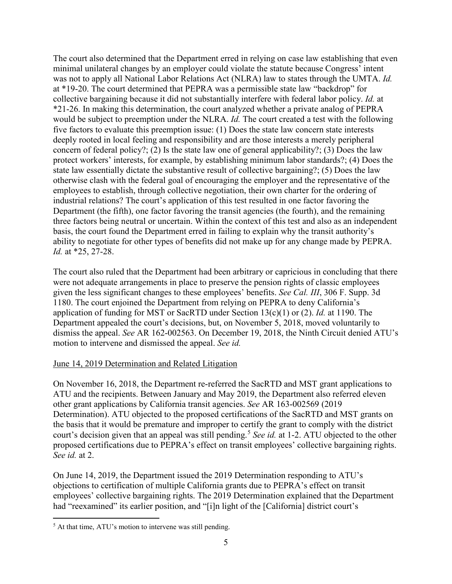The court also determined that the Department erred in relying on case law establishing that even minimal unilateral changes by an employer could violate the statute because Congress' intent was not to apply all National Labor Relations Act (NLRA) law to states through the UMTA. *Id.* at \*19-20. The court determined that PEPRA was a permissible state law "backdrop" for collective bargaining because it did not substantially interfere with federal labor policy. *Id.* at \*21-26. In making this determination, the court analyzed whether a private analog of PEPRA would be subject to preemption under the NLRA. *Id.* The court created a test with the following five factors to evaluate this preemption issue: (1) Does the state law concern state interests deeply rooted in local feeling and responsibility and are those interests a merely peripheral concern of federal policy?; (2) Is the state law one of general applicability?; (3) Does the law protect workers' interests, for example, by establishing minimum labor standards?; (4) Does the state law essentially dictate the substantive result of collective bargaining?; (5) Does the law otherwise clash with the federal goal of encouraging the employer and the representative of the employees to establish, through collective negotiation, their own charter for the ordering of industrial relations? The court's application of this test resulted in one factor favoring the Department (the fifth), one factor favoring the transit agencies (the fourth), and the remaining three factors being neutral or uncertain. Within the context of this test and also as an independent basis, the court found the Department erred in failing to explain why the transit authority's ability to negotiate for other types of benefits did not make up for any change made by PEPRA. *Id.* at \*25, 27-28.

The court also ruled that the Department had been arbitrary or capricious in concluding that there were not adequate arrangements in place to preserve the pension rights of classic employees given the less significant changes to these employees' benefits. *See Cal. III*, 306 F. Supp. 3d 1180. The court enjoined the Department from relying on PEPRA to deny California's application of funding for MST or SacRTD under Section 13(c)(1) or (2). *Id.* at 1190. The Department appealed the court's decisions, but, on November 5, 2018, moved voluntarily to dismiss the appeal. *See* AR 162-002563. On December 19, 2018, the Ninth Circuit denied ATU's motion to intervene and dismissed the appeal. *See id.*

# June 14, 2019 Determination and Related Litigation

On November 16, 2018, the Department re-referred the SacRTD and MST grant applications to ATU and the recipients. Between January and May 2019, the Department also referred eleven other grant applications by California transit agencies. *See* AR 163-002569 (2019 Determination). ATU objected to the proposed certifications of the SacRTD and MST grants on the basis that it would be premature and improper to certify the grant to comply with the district court's decision given that an appeal was still pending.<sup>[5](#page-4-0)</sup> See id. at 1-2. ATU objected to the other proposed certifications due to PEPRA's effect on transit employees' collective bargaining rights. *See id.* at 2.

On June 14, 2019, the Department issued the 2019 Determination responding to ATU's objections to certification of multiple California grants due to PEPRA's effect on transit employees' collective bargaining rights. The 2019 Determination explained that the Department had "reexamined" its earlier position, and "[i]n light of the [California] district court's

<span id="page-4-0"></span><sup>&</sup>lt;sup>5</sup> At that time, ATU's motion to intervene was still pending.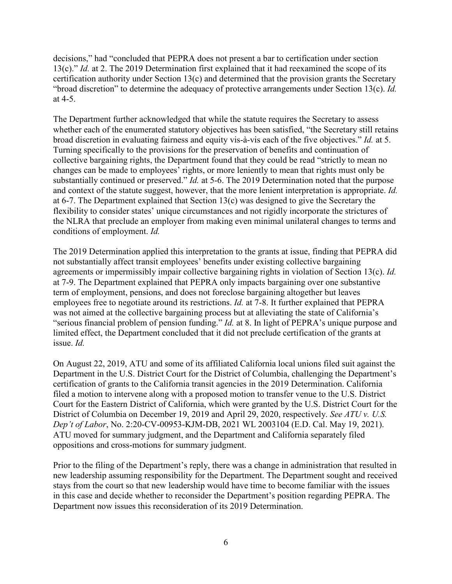decisions," had "concluded that PEPRA does not present a bar to certification under section 13(c)." *Id.* at 2. The 2019 Determination first explained that it had reexamined the scope of its certification authority under Section 13(c) and determined that the provision grants the Secretary "broad discretion" to determine the adequacy of protective arrangements under Section 13(c). *Id.* at 4-5.

The Department further acknowledged that while the statute requires the Secretary to assess whether each of the enumerated statutory objectives has been satisfied, "the Secretary still retains broad discretion in evaluating fairness and equity vis-à-vis each of the five objectives." *Id.* at 5. Turning specifically to the provisions for the preservation of benefits and continuation of collective bargaining rights, the Department found that they could be read "strictly to mean no changes can be made to employees' rights, or more leniently to mean that rights must only be substantially continued or preserved." *Id.* at 5-6. The 2019 Determination noted that the purpose and context of the statute suggest, however, that the more lenient interpretation is appropriate. *Id.* at 6-7. The Department explained that Section 13(c) was designed to give the Secretary the flexibility to consider states' unique circumstances and not rigidly incorporate the strictures of the NLRA that preclude an employer from making even minimal unilateral changes to terms and conditions of employment. *Id.*

The 2019 Determination applied this interpretation to the grants at issue, finding that PEPRA did not substantially affect transit employees' benefits under existing collective bargaining agreements or impermissibly impair collective bargaining rights in violation of Section 13(c). *Id.* at 7-9. The Department explained that PEPRA only impacts bargaining over one substantive term of employment, pensions, and does not foreclose bargaining altogether but leaves employees free to negotiate around its restrictions. *Id.* at 7-8. It further explained that PEPRA was not aimed at the collective bargaining process but at alleviating the state of California's "serious financial problem of pension funding." *Id.* at 8. In light of PEPRA's unique purpose and limited effect, the Department concluded that it did not preclude certification of the grants at issue. *Id.*

On August 22, 2019, ATU and some of its affiliated California local unions filed suit against the Department in the U.S. District Court for the District of Columbia, challenging the Department's certification of grants to the California transit agencies in the 2019 Determination. California filed a motion to intervene along with a proposed motion to transfer venue to the U.S. District Court for the Eastern District of California, which were granted by the U.S. District Court for the District of Columbia on December 19, 2019 and April 29, 2020, respectively. *See ATU v. U.S. Dep't of Labor*, No. 2:20-CV-00953-KJM-DB, 2021 WL 2003104 (E.D. Cal. May 19, 2021). ATU moved for summary judgment, and the Department and California separately filed oppositions and cross-motions for summary judgment.

Prior to the filing of the Department's reply, there was a change in administration that resulted in new leadership assuming responsibility for the Department. The Department sought and received stays from the court so that new leadership would have time to become familiar with the issues in this case and decide whether to reconsider the Department's position regarding PEPRA. The Department now issues this reconsideration of its 2019 Determination.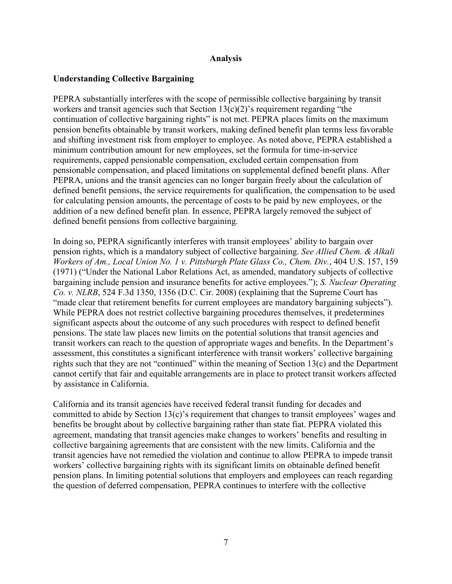#### **Analysis**

### **Understanding Collective Bargaining**

PEPRA substantially interferes with the scope of permissible collective bargaining by transit workers and transit agencies such that Section  $13(c)(2)$ 's requirement regarding "the continuation of collective bargaining rights" is not met. PEPRA places limits on the maximum pension benefits obtainable by transit workers, making defined benefit plan terms less favorable and shifting investment risk from employer to employee. As noted above, PEPRA established a minimum contribution amount for new employees, set the formula for time-in-service requirements, capped pensionable compensation, excluded certain compensation from pensionable compensation, and placed limitations on supplemental defined benefit plans. After PEPRA, unions and the transit agencies can no longer bargain freely about the calculation of defined benefit pensions, the service requirements for qualification, the compensation to be used for calculating pension amounts, the percentage of costs to be paid by new employees, or the addition of a new defined benefit plan. In essence, PEPRA largely removed the subject of defined benefit pensions from collective bargaining.

In doing so, PEPRA significantly interferes with transit employees' ability to bargain over pension rights, which is a mandatory subject of collective bargaining. *See Allied Chem. & Alkali Workers of Am., Local Union No. 1 v. Pittsburgh Plate Glass Co., Chem. Div.*, 404 U.S. 157, 159 (1971) ("Under the National Labor Relations Act, as amended, mandatory subjects of collective bargaining include pension and insurance benefits for active employees."); *S. Nuclear Operating Co. v. NLRB*, 524 F.3d 1350, 1356 (D.C. Cir. 2008) (explaining that the Supreme Court has "made clear that retirement benefits for current employees are mandatory bargaining subjects"). While PEPRA does not restrict collective bargaining procedures themselves, it predetermines significant aspects about the outcome of any such procedures with respect to defined benefit pensions. The state law places new limits on the potential solutions that transit agencies and transit workers can reach to the question of appropriate wages and benefits. In the Department's assessment, this constitutes a significant interference with transit workers' collective bargaining rights such that they are not "continued" within the meaning of Section 13(c) and the Department cannot certify that fair and equitable arrangements are in place to protect transit workers affected by assistance in California.

California and its transit agencies have received federal transit funding for decades and committed to abide by Section 13(c)'s requirement that changes to transit employees' wages and benefits be brought about by collective bargaining rather than state fiat. PEPRA violated this agreement, mandating that transit agencies make changes to workers' benefits and resulting in collective bargaining agreements that are consistent with the new limits. California and the transit agencies have not remedied the violation and continue to allow PEPRA to impede transit workers' collective bargaining rights with its significant limits on obtainable defined benefit pension plans. In limiting potential solutions that employers and employees can reach regarding the question of deferred compensation, PEPRA continues to interfere with the collective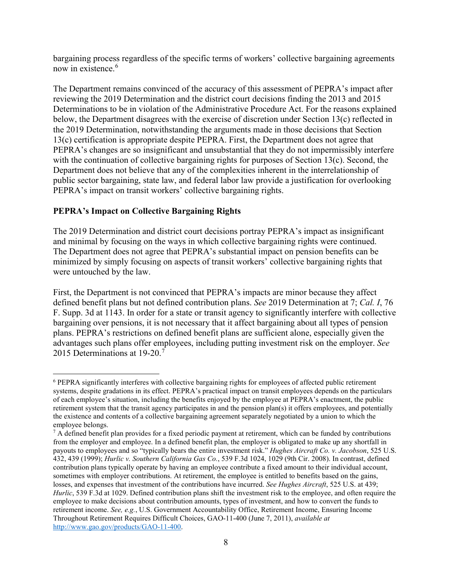bargaining process regardless of the specific terms of workers' collective bargaining agreements now in existence.<sup>[6](#page-7-0)</sup>

The Department remains convinced of the accuracy of this assessment of PEPRA's impact after reviewing the 2019 Determination and the district court decisions finding the 2013 and 2015 Determinations to be in violation of the Administrative Procedure Act. For the reasons explained below, the Department disagrees with the exercise of discretion under Section 13(c) reflected in the 2019 Determination, notwithstanding the arguments made in those decisions that Section 13(c) certification is appropriate despite PEPRA. First, the Department does not agree that PEPRA's changes are so insignificant and unsubstantial that they do not impermissibly interfere with the continuation of collective bargaining rights for purposes of Section 13(c). Second, the Department does not believe that any of the complexities inherent in the interrelationship of public sector bargaining, state law, and federal labor law provide a justification for overlooking PEPRA's impact on transit workers' collective bargaining rights.

# **PEPRA's Impact on Collective Bargaining Rights**

The 2019 Determination and district court decisions portray PEPRA's impact as insignificant and minimal by focusing on the ways in which collective bargaining rights were continued. The Department does not agree that PEPRA's substantial impact on pension benefits can be minimized by simply focusing on aspects of transit workers' collective bargaining rights that were untouched by the law.

First, the Department is not convinced that PEPRA's impacts are minor because they affect defined benefit plans but not defined contribution plans. *See* 2019 Determination at 7; *Cal. I*, 76 F. Supp. 3d at 1143. In order for a state or transit agency to significantly interfere with collective bargaining over pensions, it is not necessary that it affect bargaining about all types of pension plans. PEPRA's restrictions on defined benefit plans are sufficient alone, especially given the advantages such plans offer employees, including putting investment risk on the employer. *See* 2015 Determinations at 19-20.<sup>[7](#page-7-1)</sup>

<span id="page-7-0"></span> <sup>6</sup> PEPRA significantly interferes with collective bargaining rights for employees of affected public retirement systems, despite gradations in its effect. PEPRA's practical impact on transit employees depends on the particulars of each employee's situation, including the benefits enjoyed by the employee at PEPRA's enactment, the public retirement system that the transit agency participates in and the pension plan(s) it offers employees, and potentially the existence and contents of a collective bargaining agreement separately negotiated by a union to which the employee belongs.

<span id="page-7-1"></span> $7$  A defined benefit plan provides for a fixed periodic payment at retirement, which can be funded by contributions from the employer and employee. In a defined benefit plan, the employer is obligated to make up any shortfall in payouts to employees and so "typically bears the entire investment risk." *Hughes Aircraft Co. v. Jacobson*, 525 U.S. 432, 439 (1999); *Hurlic v. Southern California Gas Co.*, 539 F.3d 1024, 1029 (9th Cir. 2008). In contrast, defined contribution plans typically operate by having an employee contribute a fixed amount to their individual account, sometimes with employer contributions. At retirement, the employee is entitled to benefits based on the gains, losses, and expenses that investment of the contributions have incurred. *See Hughes Aircraft*, 525 U.S. at 439; *Hurlic*, 539 F.3d at 1029. Defined contribution plans shift the investment risk to the employee, and often require the employee to make decisions about contribution amounts, types of investment, and how to convert the funds to retirement income. *See, e.g.*, U.S. Government Accountability Office, Retirement Income, Ensuring Income Throughout Retirement Requires Difficult Choices, GAO-11-400 (June 7, 2011), *available at*  [http://www.gao.gov/products/GAO-11-400.](http://www.gao.gov/products/GAO-11-400)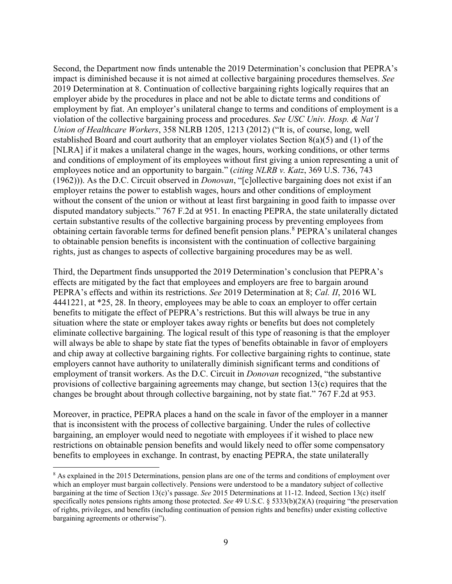Second, the Department now finds untenable the 2019 Determination's conclusion that PEPRA's impact is diminished because it is not aimed at collective bargaining procedures themselves. *See* 2019 Determination at 8. Continuation of collective bargaining rights logically requires that an employer abide by the procedures in place and not be able to dictate terms and conditions of employment by fiat. An employer's unilateral change to terms and conditions of employment is a violation of the collective bargaining process and procedures. *See USC Univ. Hosp. & Nat'l Union of Healthcare Workers*, 358 NLRB 1205, 1213 (2012) ("It is, of course, long, well established Board and court authority that an employer violates Section 8(a)(5) and (1) of the [NLRA] if it makes a unilateral change in the wages, hours, working conditions, or other terms and conditions of employment of its employees without first giving a union representing a unit of employees notice and an opportunity to bargain." (*citing NLRB v. Katz*, 369 U.S. 736, 743 (1962))). As the D.C. Circuit observed in *Donovan*, "[c]ollective bargaining does not exist if an employer retains the power to establish wages, hours and other conditions of employment without the consent of the union or without at least first bargaining in good faith to impasse over disputed mandatory subjects." 767 F.2d at 951. In enacting PEPRA, the state unilaterally dictated certain substantive results of the collective bargaining process by preventing employees from obtaining certain favorable terms for defined benefit pension plans.<sup>[8](#page-8-0)</sup> PEPRA's unilateral changes to obtainable pension benefits is inconsistent with the continuation of collective bargaining rights, just as changes to aspects of collective bargaining procedures may be as well.

Third, the Department finds unsupported the 2019 Determination's conclusion that PEPRA's effects are mitigated by the fact that employees and employers are free to bargain around PEPRA's effects and within its restrictions. *See* 2019 Determination at 8; *Cal. II*, 2016 WL 4441221, at \*25, 28. In theory, employees may be able to coax an employer to offer certain benefits to mitigate the effect of PEPRA's restrictions. But this will always be true in any situation where the state or employer takes away rights or benefits but does not completely eliminate collective bargaining. The logical result of this type of reasoning is that the employer will always be able to shape by state fiat the types of benefits obtainable in favor of employers and chip away at collective bargaining rights. For collective bargaining rights to continue, state employers cannot have authority to unilaterally diminish significant terms and conditions of employment of transit workers. As the D.C. Circuit in *Donovan* recognized, "the substantive provisions of collective bargaining agreements may change, but section 13(c) requires that the changes be brought about through collective bargaining, not by state fiat." 767 F.2d at 953.

Moreover, in practice, PEPRA places a hand on the scale in favor of the employer in a manner that is inconsistent with the process of collective bargaining. Under the rules of collective bargaining, an employer would need to negotiate with employees if it wished to place new restrictions on obtainable pension benefits and would likely need to offer some compensatory benefits to employees in exchange. In contrast, by enacting PEPRA, the state unilaterally

<span id="page-8-0"></span><sup>&</sup>lt;sup>8</sup> As explained in the 2015 Determinations, pension plans are one of the terms and conditions of employment over which an employer must bargain collectively. Pensions were understood to be a mandatory subject of collective bargaining at the time of Section 13(c)'s passage. *See* 2015 Determinations at 11-12. Indeed, Section 13(c) itself specifically notes pensions rights among those protected. *See* 49 U.S.C. § 5333(b)(2)(A) (requiring "the preservation of rights, privileges, and benefits (including continuation of pension rights and benefits) under existing collective bargaining agreements or otherwise").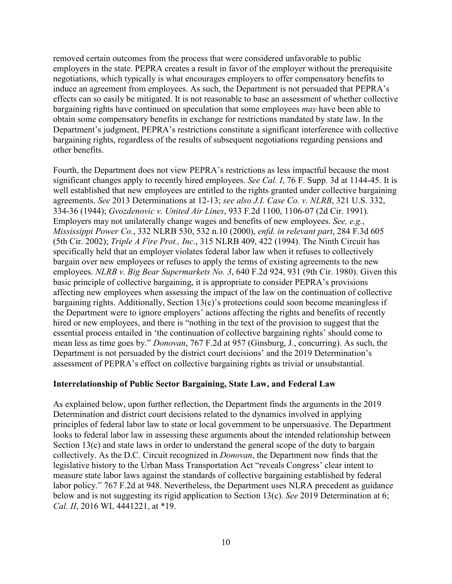removed certain outcomes from the process that were considered unfavorable to public employers in the state. PEPRA creates a result in favor of the employer without the prerequisite negotiations, which typically is what encourages employers to offer compensatory benefits to induce an agreement from employees. As such, the Department is not persuaded that PEPRA's effects can so easily be mitigated. It is not reasonable to base an assessment of whether collective bargaining rights have continued on speculation that some employees *may* have been able to obtain some compensatory benefits in exchange for restrictions mandated by state law. In the Department's judgment, PEPRA's restrictions constitute a significant interference with collective bargaining rights, regardless of the results of subsequent negotiations regarding pensions and other benefits.

Fourth, the Department does not view PEPRA's restrictions as less impactful because the most significant changes apply to recently hired employees. *See Cal. I*, 76 F. Supp. 3d at 1144-45. It is well established that new employees are entitled to the rights granted under collective bargaining agreements. *See* 2013 Determinations at 12-13; *see also J.I. Case Co. v. NLRB*, 321 U.S. 332, 334-36 (1944); *Gvozdenovic v. United Air Lines*, 933 F.2d 1100, 1106-07 (2d Cir. 1991). Employers may not unilaterally change wages and benefits of new employees. *See, e.g.*, *Mississippi Power Co.*, 332 NLRB 530, 532 n.10 (2000), *enfd. in relevant part*, 284 F.3d 605 (5th Cir. 2002); *Triple A Fire Prot., Inc.*, 315 NLRB 409, 422 (1994). The Ninth Circuit has specifically held that an employer violates federal labor law when it refuses to collectively bargain over new employees or refuses to apply the terms of existing agreements to the new employees. *NLRB v. Big Bear Supermarkets No. 3*, 640 F.2d 924, 931 (9th Cir. 1980). Given this basic principle of collective bargaining, it is appropriate to consider PEPRA's provisions affecting new employees when assessing the impact of the law on the continuation of collective bargaining rights. Additionally, Section 13(c)'s protections could soon become meaningless if the Department were to ignore employers' actions affecting the rights and benefits of recently hired or new employees, and there is "nothing in the text of the provision to suggest that the essential process entailed in 'the continuation of collective bargaining rights' should come to mean less as time goes by." *Donovan*, 767 F.2d at 957 (Ginsburg, J., concurring). As such, the Department is not persuaded by the district court decisions' and the 2019 Determination's assessment of PEPRA's effect on collective bargaining rights as trivial or unsubstantial.

### **Interrelationship of Public Sector Bargaining, State Law, and Federal Law**

As explained below, upon further reflection, the Department finds the arguments in the 2019 Determination and district court decisions related to the dynamics involved in applying principles of federal labor law to state or local government to be unpersuasive. The Department looks to federal labor law in assessing these arguments about the intended relationship between Section 13(c) and state laws in order to understand the general scope of the duty to bargain collectively. As the D.C. Circuit recognized in *Donovan*, the Department now finds that the legislative history to the Urban Mass Transportation Act "reveals Congress' clear intent to measure state labor laws against the standards of collective bargaining established by federal labor policy." 767 F.2d at 948. Nevertheless, the Department uses NLRA precedent as guidance below and is not suggesting its rigid application to Section 13(c). *See* 2019 Determination at 6; *Cal. II*, 2016 WL 4441221, at \*19.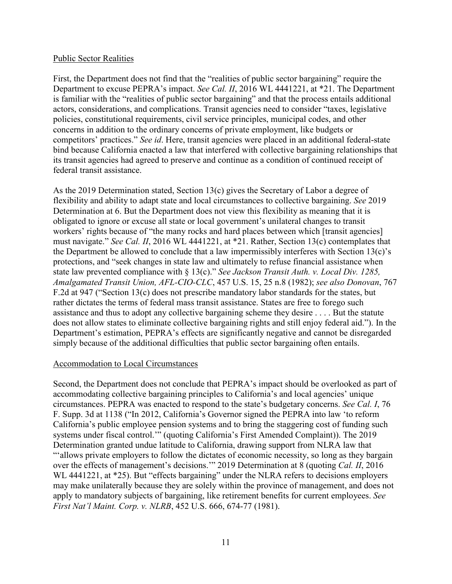#### Public Sector Realities

First, the Department does not find that the "realities of public sector bargaining" require the Department to excuse PEPRA's impact. *See Cal. II*, 2016 WL 4441221, at \*21. The Department is familiar with the "realities of public sector bargaining" and that the process entails additional actors, considerations, and complications. Transit agencies need to consider "taxes, legislative policies, constitutional requirements, civil service principles, municipal codes, and other concerns in addition to the ordinary concerns of private employment, like budgets or competitors' practices." *See id*. Here, transit agencies were placed in an additional federal-state bind because California enacted a law that interfered with collective bargaining relationships that its transit agencies had agreed to preserve and continue as a condition of continued receipt of federal transit assistance.

As the 2019 Determination stated, Section 13(c) gives the Secretary of Labor a degree of flexibility and ability to adapt state and local circumstances to collective bargaining. *See* 2019 Determination at 6. But the Department does not view this flexibility as meaning that it is obligated to ignore or excuse all state or local government's unilateral changes to transit workers' rights because of "the many rocks and hard places between which [transit agencies] must navigate." *See Cal. II*, 2016 WL 4441221, at \*21. Rather, Section 13(c) contemplates that the Department be allowed to conclude that a law impermissibly interferes with Section 13(c)'s protections, and "seek changes in state law and ultimately to refuse financial assistance when state law prevented compliance with § 13(c)." *See Jackson Transit Auth. v. Local Div. 1285, Amalgamated Transit Union, AFL-CIO-CLC*, 457 U.S. 15, 25 n.8 (1982); *see also Donovan*, 767 F.2d at 947 ("Section 13(c) does not prescribe mandatory labor standards for the states, but rather dictates the terms of federal mass transit assistance. States are free to forego such assistance and thus to adopt any collective bargaining scheme they desire . . . . But the statute does not allow states to eliminate collective bargaining rights and still enjoy federal aid."). In the Department's estimation, PEPRA's effects are significantly negative and cannot be disregarded simply because of the additional difficulties that public sector bargaining often entails.

### Accommodation to Local Circumstances

Second, the Department does not conclude that PEPRA's impact should be overlooked as part of accommodating collective bargaining principles to California's and local agencies' unique circumstances. PEPRA was enacted to respond to the state's budgetary concerns. *See Cal. I*, 76 F. Supp. 3d at 1138 ("In 2012, California's Governor signed the PEPRA into law 'to reform California's public employee pension systems and to bring the staggering cost of funding such systems under fiscal control.'" (quoting California's First Amended Complaint)). The 2019 Determination granted undue latitude to California, drawing support from NLRA law that "'allows private employers to follow the dictates of economic necessity, so long as they bargain over the effects of management's decisions.'" 2019 Determination at 8 (quoting *Cal. II*, 2016 WL 4441221, at \*25). But "effects bargaining" under the NLRA refers to decisions employers may make unilaterally because they are solely within the province of management, and does not apply to mandatory subjects of bargaining, like retirement benefits for current employees. *See First Nat'l Maint. Corp. v. NLRB*, 452 U.S. 666, 674-77 (1981).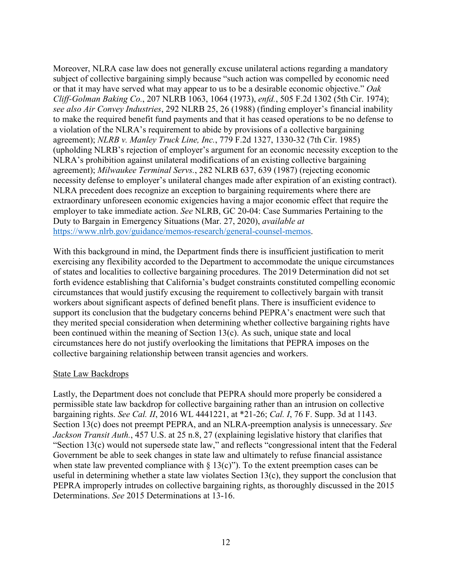Moreover, NLRA case law does not generally excuse unilateral actions regarding a mandatory subject of collective bargaining simply because "such action was compelled by economic need or that it may have served what may appear to us to be a desirable economic objective." *Oak Cliff-Golman Baking Co.*, 207 NLRB 1063, 1064 (1973), *enfd.*, 505 F.2d 1302 (5th Cir. 1974); *see also Air Convey Industries*, 292 NLRB 25, 26 (1988) (finding employer's financial inability to make the required benefit fund payments and that it has ceased operations to be no defense to a violation of the NLRA's requirement to abide by provisions of a collective bargaining agreement); *NLRB v. Manley Truck Line, Inc.*, 779 F.2d 1327, 1330-32 (7th Cir. 1985) (upholding NLRB's rejection of employer's argument for an economic necessity exception to the NLRA's prohibition against unilateral modifications of an existing collective bargaining agreement); *Milwaukee Terminal Servs.*, 282 NLRB 637, 639 (1987) (rejecting economic necessity defense to employer's unilateral changes made after expiration of an existing contract). NLRA precedent does recognize an exception to bargaining requirements where there are extraordinary unforeseen economic exigencies having a major economic effect that require the employer to take immediate action. *See* NLRB, GC 20-04: Case Summaries Pertaining to the Duty to Bargain in Emergency Situations (Mar. 27, 2020), *available at* [https://www.nlrb.gov/guidance/memos-research/general-counsel-memos.](https://www.nlrb.gov/guidance/memos-research/general-counsel-memos)

With this background in mind, the Department finds there is insufficient justification to merit exercising any flexibility accorded to the Department to accommodate the unique circumstances of states and localities to collective bargaining procedures. The 2019 Determination did not set forth evidence establishing that California's budget constraints constituted compelling economic circumstances that would justify excusing the requirement to collectively bargain with transit workers about significant aspects of defined benefit plans. There is insufficient evidence to support its conclusion that the budgetary concerns behind PEPRA's enactment were such that they merited special consideration when determining whether collective bargaining rights have been continued within the meaning of Section 13(c). As such, unique state and local circumstances here do not justify overlooking the limitations that PEPRA imposes on the collective bargaining relationship between transit agencies and workers.

#### State Law Backdrops

Lastly, the Department does not conclude that PEPRA should more properly be considered a permissible state law backdrop for collective bargaining rather than an intrusion on collective bargaining rights. *See Cal. II*, 2016 WL 4441221, at \*21-26; *Cal. I*, 76 F. Supp. 3d at 1143. Section 13(c) does not preempt PEPRA, and an NLRA-preemption analysis is unnecessary. *See Jackson Transit Auth.*, 457 U.S. at 25 n.8, 27 (explaining legislative history that clarifies that "Section 13(c) would not supersede state law," and reflects "congressional intent that the Federal Government be able to seek changes in state law and ultimately to refuse financial assistance when state law prevented compliance with  $\S 13(c)$ "). To the extent preemption cases can be useful in determining whether a state law violates Section 13(c), they support the conclusion that PEPRA improperly intrudes on collective bargaining rights, as thoroughly discussed in the 2015 Determinations. *See* 2015 Determinations at 13-16.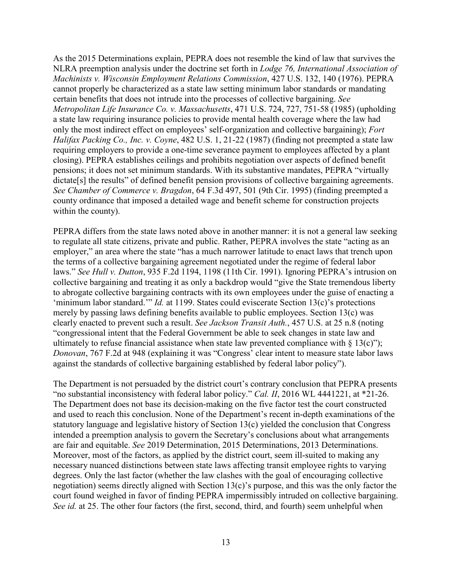As the 2015 Determinations explain, PEPRA does not resemble the kind of law that survives the NLRA preemption analysis under the doctrine set forth in *Lodge 76, International Association of Machinists v. Wisconsin Employment Relations Commission*, 427 U.S. 132, 140 (1976). PEPRA cannot properly be characterized as a state law setting minimum labor standards or mandating certain benefits that does not intrude into the processes of collective bargaining. *See Metropolitan Life Insurance Co. v. Massachusetts*, 471 U.S. 724, 727, 751-58 (1985) (upholding a state law requiring insurance policies to provide mental health coverage where the law had only the most indirect effect on employees' self-organization and collective bargaining); *Fort Halifax Packing Co., Inc. v. Coyne*, 482 U.S. 1, 21-22 (1987) (finding not preempted a state law requiring employers to provide a one-time severance payment to employees affected by a plant closing). PEPRA establishes ceilings and prohibits negotiation over aspects of defined benefit pensions; it does not set minimum standards. With its substantive mandates, PEPRA "virtually dictate[s] the results" of defined benefit pension provisions of collective bargaining agreements. *See Chamber of Commerce v. Bragdon*, 64 F.3d 497, 501 (9th Cir. 1995) (finding preempted a county ordinance that imposed a detailed wage and benefit scheme for construction projects within the county).

PEPRA differs from the state laws noted above in another manner: it is not a general law seeking to regulate all state citizens, private and public. Rather, PEPRA involves the state "acting as an employer," an area where the state "has a much narrower latitude to enact laws that trench upon the terms of a collective bargaining agreement negotiated under the regime of federal labor laws." *See Hull v. Dutton*, 935 F.2d 1194, 1198 (11th Cir. 1991). Ignoring PEPRA's intrusion on collective bargaining and treating it as only a backdrop would "give the State tremendous liberty to abrogate collective bargaining contracts with its own employees under the guise of enacting a 'minimum labor standard.'" *Id.* at 1199. States could eviscerate Section 13(c)'s protections merely by passing laws defining benefits available to public employees. Section 13(c) was clearly enacted to prevent such a result. *See Jackson Transit Auth.*, 457 U.S. at 25 n.8 (noting "congressional intent that the Federal Government be able to seek changes in state law and ultimately to refuse financial assistance when state law prevented compliance with  $\S 13(c)$ "); *Donovan*, 767 F.2d at 948 (explaining it was "Congress' clear intent to measure state labor laws against the standards of collective bargaining established by federal labor policy").

The Department is not persuaded by the district court's contrary conclusion that PEPRA presents "no substantial inconsistency with federal labor policy." *Cal. II*, 2016 WL 4441221, at \*21-26. The Department does not base its decision-making on the five factor test the court constructed and used to reach this conclusion. None of the Department's recent in-depth examinations of the statutory language and legislative history of Section 13(c) yielded the conclusion that Congress intended a preemption analysis to govern the Secretary's conclusions about what arrangements are fair and equitable. *See* 2019 Determination, 2015 Determinations, 2013 Determinations. Moreover, most of the factors, as applied by the district court, seem ill-suited to making any necessary nuanced distinctions between state laws affecting transit employee rights to varying degrees. Only the last factor (whether the law clashes with the goal of encouraging collective negotiation) seems directly aligned with Section 13(c)'s purpose, and this was the only factor the court found weighed in favor of finding PEPRA impermissibly intruded on collective bargaining. *See id.* at 25. The other four factors (the first, second, third, and fourth) seem unhelpful when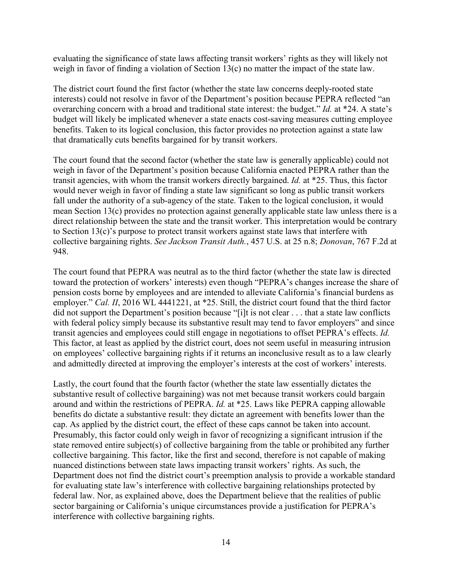evaluating the significance of state laws affecting transit workers' rights as they will likely not weigh in favor of finding a violation of Section 13(c) no matter the impact of the state law.

The district court found the first factor (whether the state law concerns deeply-rooted state interests) could not resolve in favor of the Department's position because PEPRA reflected "an overarching concern with a broad and traditional state interest: the budget." *Id.* at \*24. A state's budget will likely be implicated whenever a state enacts cost-saving measures cutting employee benefits. Taken to its logical conclusion, this factor provides no protection against a state law that dramatically cuts benefits bargained for by transit workers.

The court found that the second factor (whether the state law is generally applicable) could not weigh in favor of the Department's position because California enacted PEPRA rather than the transit agencies, with whom the transit workers directly bargained. *Id.* at \*25. Thus, this factor would never weigh in favor of finding a state law significant so long as public transit workers fall under the authority of a sub-agency of the state. Taken to the logical conclusion, it would mean Section 13(c) provides no protection against generally applicable state law unless there is a direct relationship between the state and the transit worker. This interpretation would be contrary to Section 13(c)'s purpose to protect transit workers against state laws that interfere with collective bargaining rights. *See Jackson Transit Auth.*, 457 U.S. at 25 n.8; *Donovan*, 767 F.2d at 948.

The court found that PEPRA was neutral as to the third factor (whether the state law is directed toward the protection of workers' interests) even though "PEPRA's changes increase the share of pension costs borne by employees and are intended to alleviate California's financial burdens as employer." *Cal. II*, 2016 WL 4441221, at \*25. Still, the district court found that the third factor did not support the Department's position because "[i]t is not clear . . . that a state law conflicts with federal policy simply because its substantive result may tend to favor employers" and since transit agencies and employees could still engage in negotiations to offset PEPRA's effects. *Id.* This factor, at least as applied by the district court, does not seem useful in measuring intrusion on employees' collective bargaining rights if it returns an inconclusive result as to a law clearly and admittedly directed at improving the employer's interests at the cost of workers' interests.

Lastly, the court found that the fourth factor (whether the state law essentially dictates the substantive result of collective bargaining) was not met because transit workers could bargain around and within the restrictions of PEPRA. *Id.* at \*25. Laws like PEPRA capping allowable benefits do dictate a substantive result: they dictate an agreement with benefits lower than the cap. As applied by the district court, the effect of these caps cannot be taken into account. Presumably, this factor could only weigh in favor of recognizing a significant intrusion if the state removed entire subject(s) of collective bargaining from the table or prohibited any further collective bargaining. This factor, like the first and second, therefore is not capable of making nuanced distinctions between state laws impacting transit workers' rights. As such, the Department does not find the district court's preemption analysis to provide a workable standard for evaluating state law's interference with collective bargaining relationships protected by federal law. Nor, as explained above, does the Department believe that the realities of public sector bargaining or California's unique circumstances provide a justification for PEPRA's interference with collective bargaining rights.